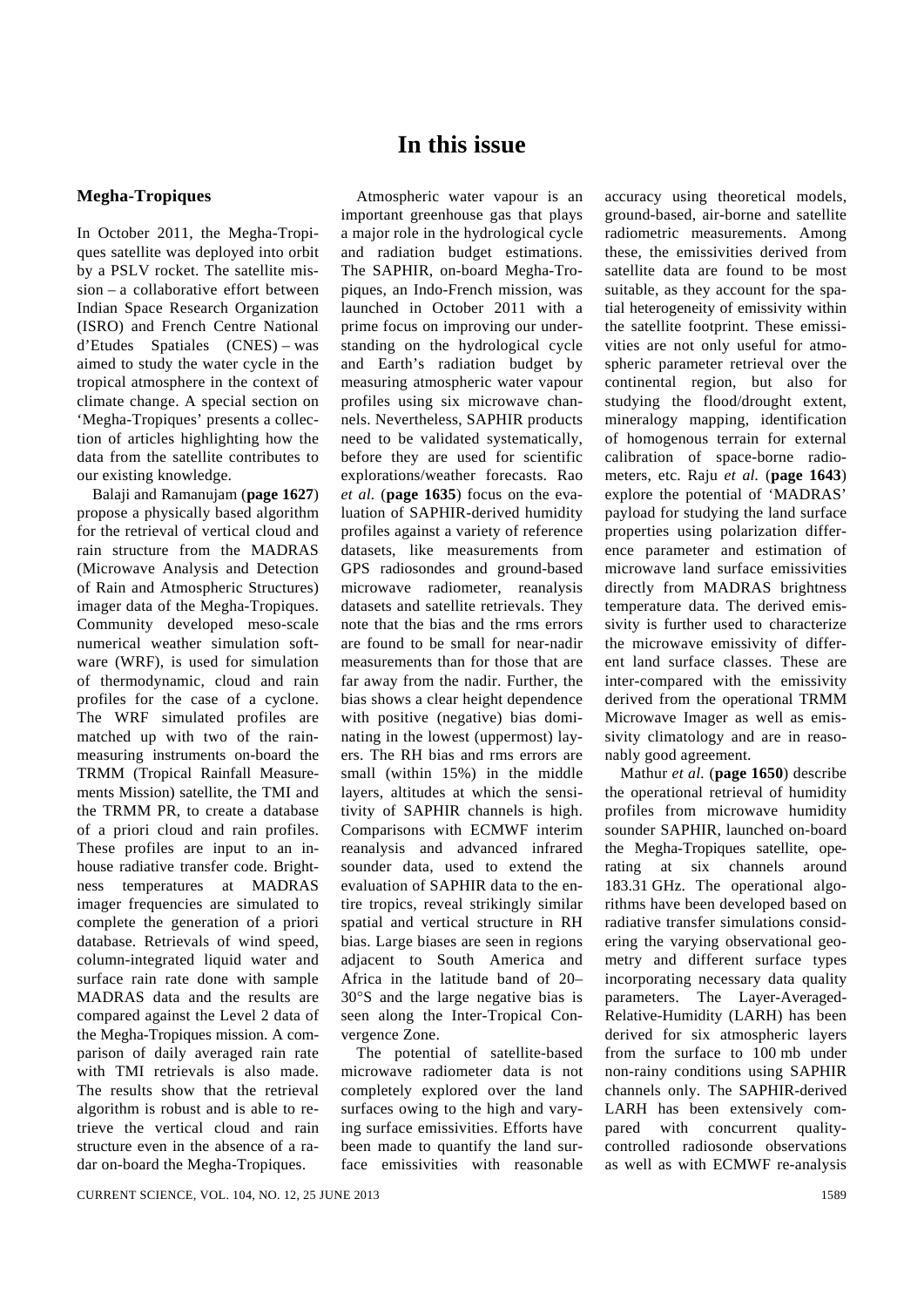## **In this issue**

## **Megha-Tropiques**

In October 2011, the Megha-Tropiques satellite was deployed into orbit by a PSLV rocket. The satellite mission – a collaborative effort between Indian Space Research Organization (ISRO) and French Centre National d'Etudes Spatiales (CNES) – was aimed to study the water cycle in the tropical atmosphere in the context of climate change. A special section on 'Megha-Tropiques' presents a collection of articles highlighting how the data from the satellite contributes to our existing knowledge.

 Balaji and Ramanujam (**page 1627**) propose a physically based algorithm for the retrieval of vertical cloud and rain structure from the MADRAS (Microwave Analysis and Detection of Rain and Atmospheric Structures) imager data of the Megha-Tropiques. Community developed meso-scale numerical weather simulation software (WRF), is used for simulation of thermodynamic, cloud and rain profiles for the case of a cyclone. The WRF simulated profiles are matched up with two of the rainmeasuring instruments on-board the TRMM (Tropical Rainfall Measurements Mission) satellite, the TMI and the TRMM PR, to create a database of a priori cloud and rain profiles. These profiles are input to an inhouse radiative transfer code. Brightness temperatures at MADRAS imager frequencies are simulated to complete the generation of a priori database. Retrievals of wind speed, column-integrated liquid water and surface rain rate done with sample MADRAS data and the results are compared against the Level 2 data of the Megha-Tropiques mission. A comparison of daily averaged rain rate with TMI retrievals is also made. The results show that the retrieval algorithm is robust and is able to retrieve the vertical cloud and rain structure even in the absence of a radar on-board the Megha-Tropiques.

 Atmospheric water vapour is an important greenhouse gas that plays a major role in the hydrological cycle and radiation budget estimations. The SAPHIR, on-board Megha-Tropiques, an Indo-French mission, was launched in October 2011 with a prime focus on improving our understanding on the hydrological cycle and Earth's radiation budget by measuring atmospheric water vapour profiles using six microwave channels. Nevertheless, SAPHIR products need to be validated systematically, before they are used for scientific explorations/weather forecasts. Rao *et al.* (**page 1635**) focus on the evaluation of SAPHIR-derived humidity profiles against a variety of reference datasets, like measurements from GPS radiosondes and ground-based microwave radiometer, reanalysis datasets and satellite retrievals. They note that the bias and the rms errors are found to be small for near-nadir measurements than for those that are far away from the nadir. Further, the bias shows a clear height dependence with positive (negative) bias dominating in the lowest (uppermost) layers. The RH bias and rms errors are small (within 15%) in the middle layers, altitudes at which the sensitivity of SAPHIR channels is high. Comparisons with ECMWF interim reanalysis and advanced infrared sounder data, used to extend the evaluation of SAPHIR data to the entire tropics, reveal strikingly similar spatial and vertical structure in RH bias. Large biases are seen in regions adjacent to South America and Africa in the latitude band of 20– 30°S and the large negative bias is seen along the Inter-Tropical Convergence Zone.

 The potential of satellite-based microwave radiometer data is not completely explored over the land surfaces owing to the high and varying surface emissivities. Efforts have been made to quantify the land surface emissivities with reasonable accuracy using theoretical models, ground-based, air-borne and satellite radiometric measurements. Among these, the emissivities derived from satellite data are found to be most suitable, as they account for the spatial heterogeneity of emissivity within the satellite footprint. These emissivities are not only useful for atmospheric parameter retrieval over the continental region, but also for studying the flood/drought extent, mineralogy mapping, identification of homogenous terrain for external calibration of space-borne radiometers, etc. Raju *et al.* (**page 1643**) explore the potential of 'MADRAS' payload for studying the land surface properties using polarization difference parameter and estimation of microwave land surface emissivities directly from MADRAS brightness temperature data. The derived emissivity is further used to characterize the microwave emissivity of different land surface classes. These are inter-compared with the emissivity derived from the operational TRMM Microwave Imager as well as emissivity climatology and are in reasonably good agreement.

 Mathur *et al.* (**page 1650**) describe the operational retrieval of humidity profiles from microwave humidity sounder SAPHIR, launched on-board the Megha-Tropiques satellite, operating at six channels around 183.31 GHz. The operational algorithms have been developed based on radiative transfer simulations considering the varying observational geometry and different surface types incorporating necessary data quality parameters. The Layer-Averaged-Relative-Humidity (LARH) has been derived for six atmospheric layers from the surface to 100 mb under non-rainy conditions using SAPHIR channels only. The SAPHIR-derived LARH has been extensively compared with concurrent qualitycontrolled radiosonde observations as well as with ECMWF re-analysis